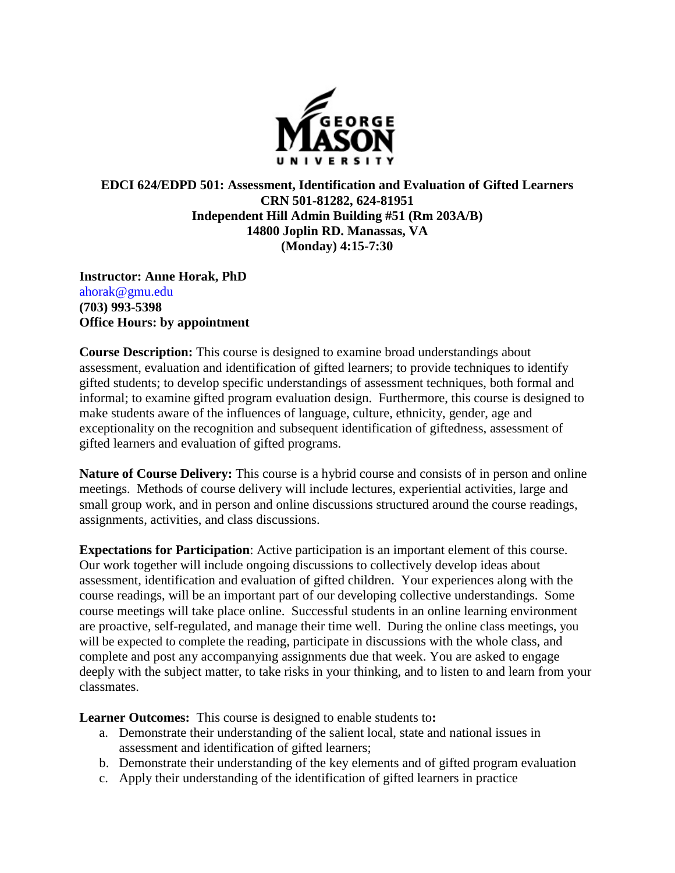

## **EDCI 624/EDPD 501: Assessment, Identification and Evaluation of Gifted Learners CRN 501-81282, 624-81951 Independent Hill Admin Building #51 (Rm 203A/B) 14800 Joplin RD. Manassas, VA (Monday) 4:15-7:30**

**Instructor: Anne Horak, PhD** ahorak@gmu.edu **(703) 993-5398 Office Hours: by appointment**

**Course Description:** This course is designed to examine broad understandings about assessment, evaluation and identification of gifted learners; to provide techniques to identify gifted students; to develop specific understandings of assessment techniques, both formal and informal; to examine gifted program evaluation design. Furthermore, this course is designed to make students aware of the influences of language, culture, ethnicity, gender, age and exceptionality on the recognition and subsequent identification of giftedness, assessment of gifted learners and evaluation of gifted programs.

**Nature of Course Delivery:** This course is a hybrid course and consists of in person and online meetings. Methods of course delivery will include lectures, experiential activities, large and small group work, and in person and online discussions structured around the course readings, assignments, activities, and class discussions.

**Expectations for Participation**: Active participation is an important element of this course. Our work together will include ongoing discussions to collectively develop ideas about assessment, identification and evaluation of gifted children. Your experiences along with the course readings, will be an important part of our developing collective understandings. Some course meetings will take place online. Successful students in an online learning environment are proactive, self-regulated, and manage their time well. During the online class meetings, you will be expected to complete the reading, participate in discussions with the whole class, and complete and post any accompanying assignments due that week. You are asked to engage deeply with the subject matter, to take risks in your thinking, and to listen to and learn from your classmates.

**Learner Outcomes:** This course is designed to enable students to**:** 

- a. Demonstrate their understanding of the salient local, state and national issues in assessment and identification of gifted learners;
- b. Demonstrate their understanding of the key elements and of gifted program evaluation
- c. Apply their understanding of the identification of gifted learners in practice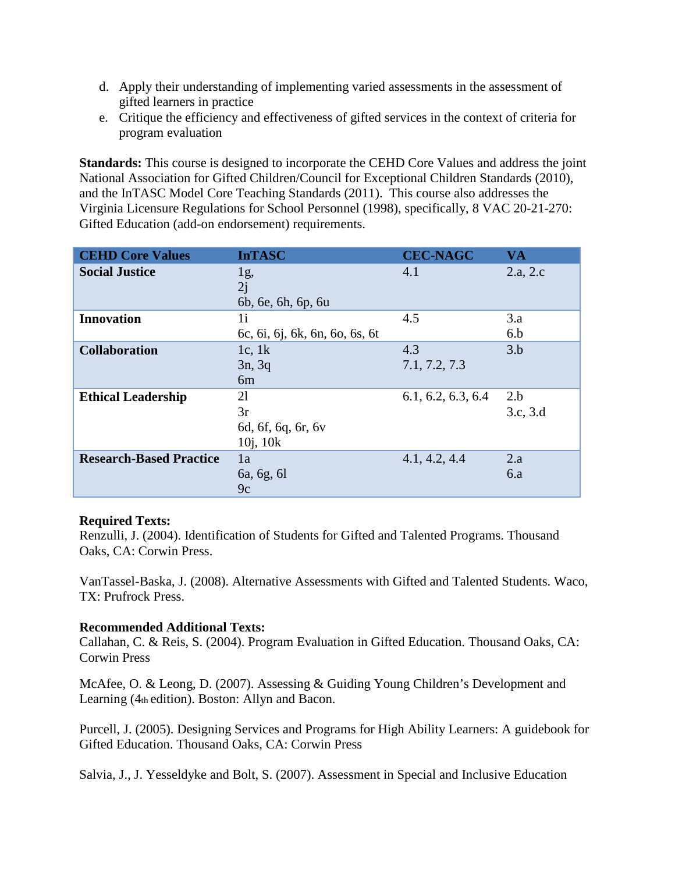- d. Apply their understanding of implementing varied assessments in the assessment of gifted learners in practice
- e. Critique the efficiency and effectiveness of gifted services in the context of criteria for program evaluation

**Standards:** This course is designed to incorporate the CEHD Core Values and address the joint National Association for Gifted Children/Council for Exceptional Children Standards (2010), and the InTASC Model Core Teaching Standards (2011). This course also addresses the Virginia Licensure Regulations for School Personnel (1998), specifically, 8 VAC 20-21-270: Gifted Education (add-on endorsement) requirements.

| <b>CEHD Core Values</b>        | <b>InTASC</b>                                   | <b>CEC-NAGC</b>      | VA              |
|--------------------------------|-------------------------------------------------|----------------------|-----------------|
| <b>Social Justice</b>          | 1g,<br>2j<br>6b, 6e, 6h, 6p, 6u                 | 4.1                  | 2.a, 2.c        |
| <b>Innovation</b>              | 1i<br>6c, 6i, 6j, 6k, 6n, 6o, 6s, 6t            | 4.5                  | 3.a<br>6.b      |
| <b>Collaboration</b>           | 1c, 1 $k$<br>3n, 3q<br>6 <sub>m</sub>           | 4.3<br>7.1, 7.2, 7.3 | 3.b             |
| <b>Ethical Leadership</b>      | 21<br>3r<br>6d, 6f, 6q, 6r, 6v<br>$10j$ , $10k$ | 6.1, 6.2, 6.3, 6.4   | 2.b<br>3.c, 3.d |
| <b>Research-Based Practice</b> | 1a<br>6a, 6g, 6l<br>9c                          | 4.1, 4.2, 4.4        | 2.a<br>6.a      |

#### **Required Texts:**

Renzulli, J. (2004). Identification of Students for Gifted and Talented Programs. Thousand Oaks, CA: Corwin Press.

VanTassel-Baska, J. (2008). Alternative Assessments with Gifted and Talented Students. Waco, TX: Prufrock Press.

## **Recommended Additional Texts:**

Callahan, C. & Reis, S. (2004). Program Evaluation in Gifted Education. Thousand Oaks, CA: Corwin Press

McAfee, O. & Leong, D. (2007). Assessing & Guiding Young Children's Development and Learning (4th edition). Boston: Allyn and Bacon.

Purcell, J. (2005). Designing Services and Programs for High Ability Learners: A guidebook for Gifted Education. Thousand Oaks, CA: Corwin Press

Salvia, J., J. Yesseldyke and Bolt, S. (2007). Assessment in Special and Inclusive Education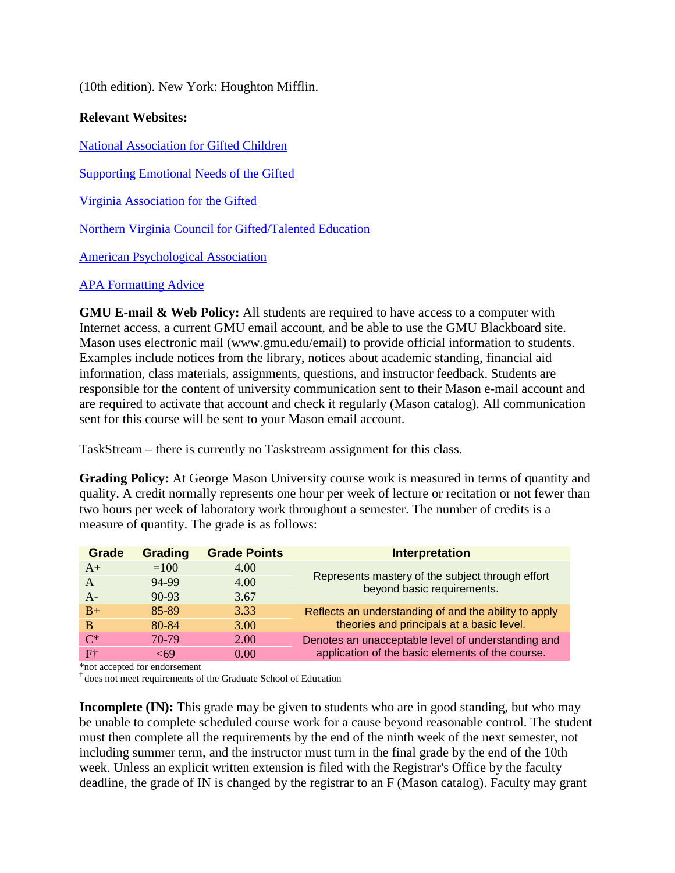(10th edition). New York: Houghton Mifflin.

## **Relevant Websites:**

[National Association for Gifted Children](http://www.nagc.org/)

[Supporting Emotional Needs of the Gifted](http://www.sengifted.org/) 

[Virginia Association for the Gifted](http://vagifted.org/)

[Northern Virginia Council for Gifted/Talented Education](http://www.nvcgte.org/)

[American Psychological Association](http://www/apa.org)

#### [APA Formatting Advice](http://owl.english.purdue.edu/)

**GMU E-mail & Web Policy:** All students are required to have access to a computer with Internet access, a current GMU email account, and be able to use the GMU Blackboard site. Mason uses electronic mail (www.gmu.edu/email) to provide official information to students. Examples include notices from the library, notices about academic standing, financial aid information, class materials, assignments, questions, and instructor feedback. Students are responsible for the content of university communication sent to their Mason e-mail account and are required to activate that account and check it regularly (Mason catalog). All communication sent for this course will be sent to your Mason email account.

TaskStream – there is currently no Taskstream assignment for this class.

**Grading Policy:** At George Mason University course work is measured in terms of quantity and quality. A credit normally represents one hour per week of lecture or recitation or not fewer than two hours per week of laboratory work throughout a semester. The number of credits is a measure of quantity. The grade is as follows:

| Grade        | <b>Grading</b> | <b>Grade Points</b> | <b>Interpretation</b>                                                          |  |
|--------------|----------------|---------------------|--------------------------------------------------------------------------------|--|
| $A+$         | $=100$         | 4.00                |                                                                                |  |
| $\mathsf{A}$ | 94-99          | 4.00                | Represents mastery of the subject through effort<br>beyond basic requirements. |  |
| $A -$        | $90 - 93$      | 3.67                |                                                                                |  |
| $B+$         | 85-89          | 3.33                | Reflects an understanding of and the ability to apply                          |  |
| B            | 80-84          | 3.00                | theories and principals at a basic level.                                      |  |
| $C^*$        | 70-79          | 2.00                | Denotes an unacceptable level of understanding and                             |  |
| $F+$         | -69            | 0.00                | application of the basic elements of the course.                               |  |

\*not accepted for endorsement

 $\dagger$  does not meet requirements of the Graduate School of Education

**Incomplete (IN):** This grade may be given to students who are in good standing, but who may be unable to complete scheduled course work for a cause beyond reasonable control. The student must then complete all the requirements by the end of the ninth week of the next semester, not including summer term, and the instructor must turn in the final grade by the end of the 10th week. Unless an explicit written extension is filed with the Registrar's Office by the faculty deadline, the grade of IN is changed by the registrar to an F (Mason catalog). Faculty may grant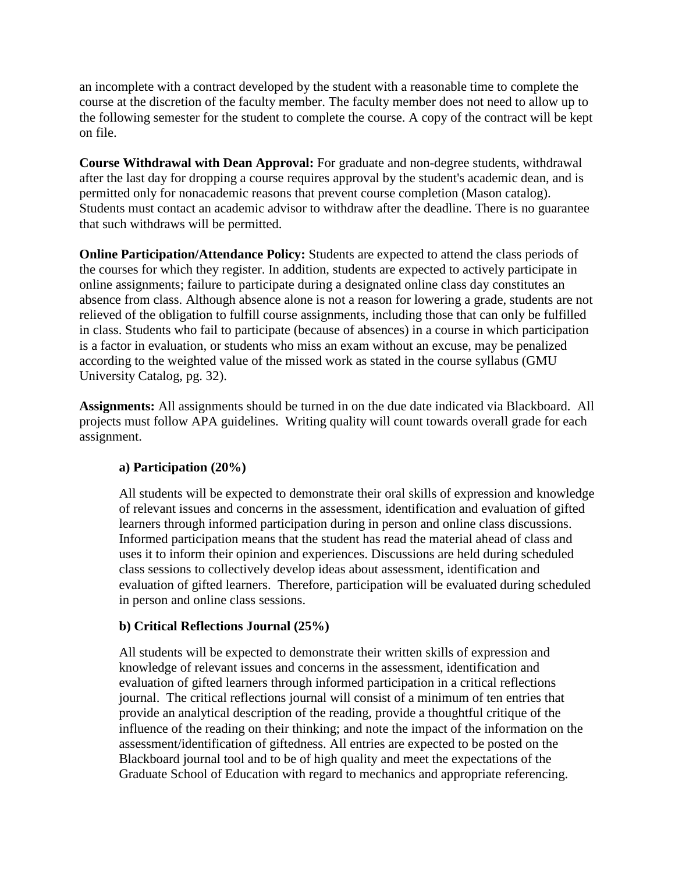an incomplete with a contract developed by the student with a reasonable time to complete the course at the discretion of the faculty member. The faculty member does not need to allow up to the following semester for the student to complete the course. A copy of the contract will be kept on file.

**Course Withdrawal with Dean Approval:** For graduate and non-degree students, withdrawal after the last day for dropping a course requires approval by the student's academic dean, and is permitted only for nonacademic reasons that prevent course completion (Mason catalog). Students must contact an academic advisor to withdraw after the deadline. There is no guarantee that such withdraws will be permitted.

**Online Participation/Attendance Policy:** Students are expected to attend the class periods of the courses for which they register. In addition, students are expected to actively participate in online assignments; failure to participate during a designated online class day constitutes an absence from class. Although absence alone is not a reason for lowering a grade, students are not relieved of the obligation to fulfill course assignments, including those that can only be fulfilled in class. Students who fail to participate (because of absences) in a course in which participation is a factor in evaluation, or students who miss an exam without an excuse, may be penalized according to the weighted value of the missed work as stated in the course syllabus (GMU University Catalog, pg. 32).

**Assignments:** All assignments should be turned in on the due date indicated via Blackboard. All projects must follow APA guidelines. Writing quality will count towards overall grade for each assignment.

## **a) Participation (20%)**

All students will be expected to demonstrate their oral skills of expression and knowledge of relevant issues and concerns in the assessment, identification and evaluation of gifted learners through informed participation during in person and online class discussions. Informed participation means that the student has read the material ahead of class and uses it to inform their opinion and experiences. Discussions are held during scheduled class sessions to collectively develop ideas about assessment, identification and evaluation of gifted learners. Therefore, participation will be evaluated during scheduled in person and online class sessions.

#### **b) Critical Reflections Journal (25%)**

All students will be expected to demonstrate their written skills of expression and knowledge of relevant issues and concerns in the assessment, identification and evaluation of gifted learners through informed participation in a critical reflections journal. The critical reflections journal will consist of a minimum of ten entries that provide an analytical description of the reading, provide a thoughtful critique of the influence of the reading on their thinking; and note the impact of the information on the assessment/identification of giftedness. All entries are expected to be posted on the Blackboard journal tool and to be of high quality and meet the expectations of the Graduate School of Education with regard to mechanics and appropriate referencing.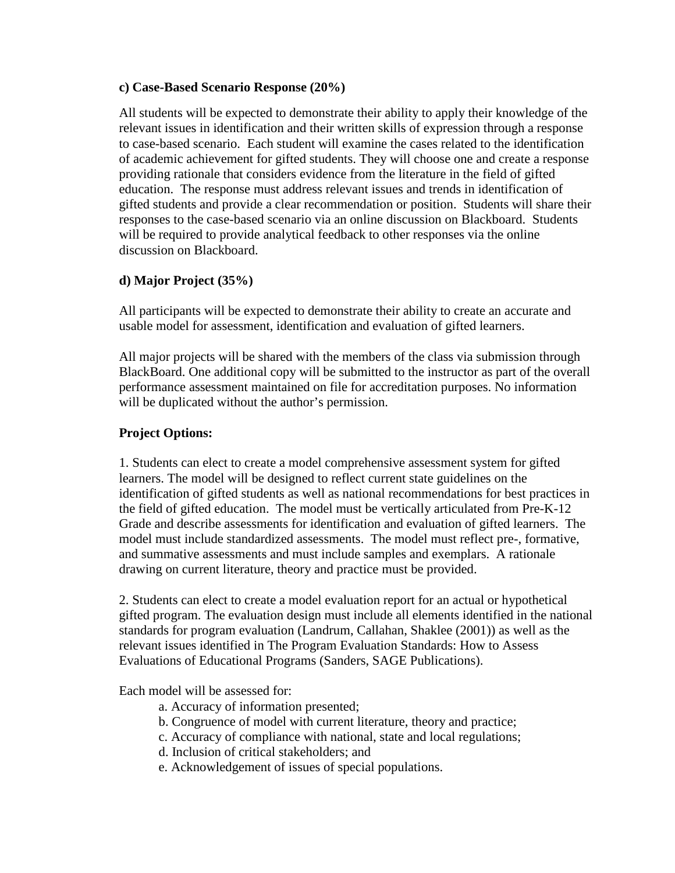#### **c) Case-Based Scenario Response (20%)**

All students will be expected to demonstrate their ability to apply their knowledge of the relevant issues in identification and their written skills of expression through a response to case-based scenario. Each student will examine the cases related to the identification of academic achievement for gifted students. They will choose one and create a response providing rationale that considers evidence from the literature in the field of gifted education. The response must address relevant issues and trends in identification of gifted students and provide a clear recommendation or position. Students will share their responses to the case-based scenario via an online discussion on Blackboard. Students will be required to provide analytical feedback to other responses via the online discussion on Blackboard.

## **d) Major Project (35%)**

All participants will be expected to demonstrate their ability to create an accurate and usable model for assessment, identification and evaluation of gifted learners.

All major projects will be shared with the members of the class via submission through BlackBoard. One additional copy will be submitted to the instructor as part of the overall performance assessment maintained on file for accreditation purposes. No information will be duplicated without the author's permission.

## **Project Options:**

1. Students can elect to create a model comprehensive assessment system for gifted learners. The model will be designed to reflect current state guidelines on the identification of gifted students as well as national recommendations for best practices in the field of gifted education. The model must be vertically articulated from Pre-K-12 Grade and describe assessments for identification and evaluation of gifted learners. The model must include standardized assessments. The model must reflect pre-, formative, and summative assessments and must include samples and exemplars. A rationale drawing on current literature, theory and practice must be provided.

2. Students can elect to create a model evaluation report for an actual or hypothetical gifted program. The evaluation design must include all elements identified in the national standards for program evaluation (Landrum, Callahan, Shaklee (2001)) as well as the relevant issues identified in The Program Evaluation Standards: How to Assess Evaluations of Educational Programs (Sanders, SAGE Publications).

Each model will be assessed for:

- a. Accuracy of information presented;
- b. Congruence of model with current literature, theory and practice;
- c. Accuracy of compliance with national, state and local regulations;
- d. Inclusion of critical stakeholders; and
- e. Acknowledgement of issues of special populations.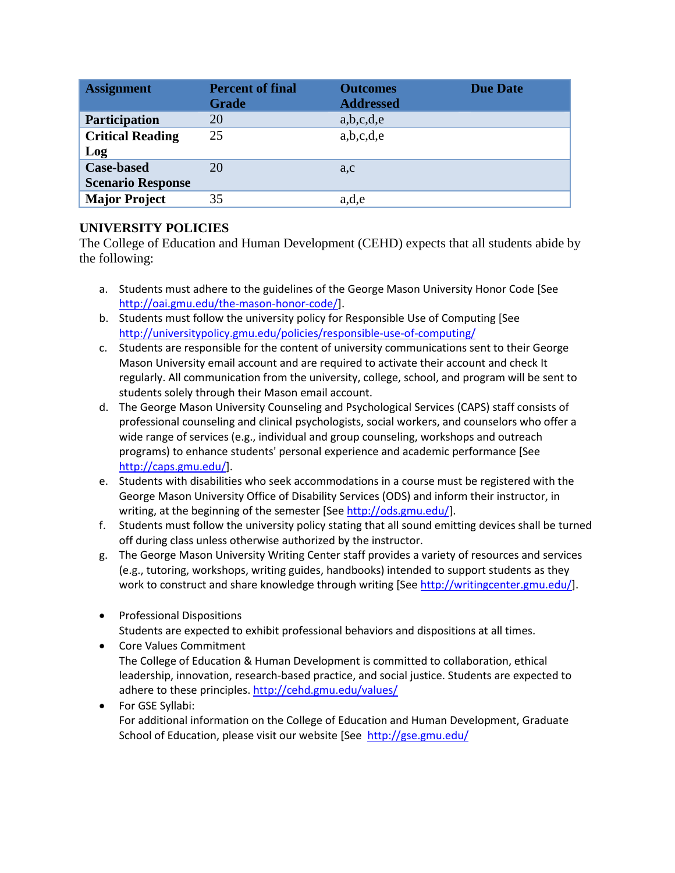| <b>Assignment</b>                             | <b>Percent of final</b><br><b>Grade</b> | <b>Outcomes</b><br><b>Addressed</b> | <b>Due Date</b> |
|-----------------------------------------------|-----------------------------------------|-------------------------------------|-----------------|
| Participation                                 | 20                                      | a,b,c,d,e                           |                 |
| <b>Critical Reading</b><br>Log                | 25                                      | a,b,c,d,e                           |                 |
| <b>Case-based</b><br><b>Scenario Response</b> | 20                                      | a,c                                 |                 |
| <b>Major Project</b>                          | 35                                      | a,d,e                               |                 |

## **UNIVERSITY POLICIES**

The College of Education and Human Development (CEHD) expects that all students abide by the following:

- a. Students must adhere to the guidelines of the George Mason University Honor Code [See [http://oai.gmu.edu/the-mason-honor-code/\]](http://oai.gmu.edu/the-mason-honor-code/).
- b. Students must follow the university policy for Responsible Use of Computing [See [http://universitypolicy.gmu.edu/policies/responsible-use-of-computing/](http://universitypolicy.gmu.edu/1301gen.html)
- c. Students are responsible for the content of university communications sent to their George Mason University email account and are required to activate their account and check It regularly. All communication from the university, college, school, and program will be sent to students solely through their Mason email account.
- d. The George Mason University Counseling and Psychological Services (CAPS) staff consists of professional counseling and clinical psychologists, social workers, and counselors who offer a wide range of services (e.g., individual and group counseling, workshops and outreach programs) to enhance students' personal experience and academic performance [See [http://caps.gmu.edu/\]](http://caps.gmu.edu/).
- e. Students with disabilities who seek accommodations in a course must be registered with the George Mason University Office of Disability Services (ODS) and inform their instructor, in writing, at the beginning of the semester [Se[e http://ods.gmu.edu/\]](http://ods.gmu.edu/).
- f. Students must follow the university policy stating that all sound emitting devices shall be turned off during class unless otherwise authorized by the instructor.
- g. The George Mason University Writing Center staff provides a variety of resources and services (e.g., tutoring, workshops, writing guides, handbooks) intended to support students as they work to construct and share knowledge through writing [Se[e http://writingcenter.gmu.edu/\]](http://writingcenter.gmu.edu/).
- Professional Dispositions Students are expected to exhibit professional behaviors and dispositions at all times.
- Core Values Commitment The College of Education & Human Development is committed to collaboration, ethical leadership, innovation, research-based practice, and social justice. Students are expected to adhere to these principles[. http://cehd.gmu.edu/values/](http://cehd.gmu.edu/values/)
- For GSE Syllabi: For additional information on the College of Education and Human Development, Graduate School of Education, please visit our website [See <http://gse.gmu.edu/>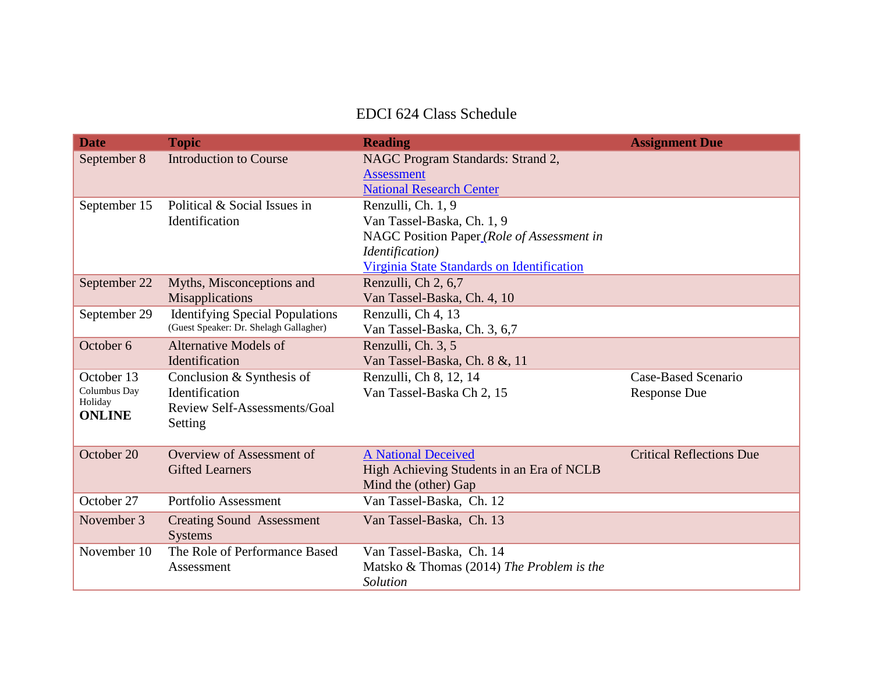# EDCI 624 Class Schedule

| <b>Date</b>             | <b>Topic</b>                           | <b>Reading</b>                              | <b>Assignment Due</b>           |
|-------------------------|----------------------------------------|---------------------------------------------|---------------------------------|
| September 8             | <b>Introduction to Course</b>          | NAGC Program Standards: Strand 2,           |                                 |
|                         |                                        | <b>Assessment</b>                           |                                 |
|                         |                                        | <b>National Research Center</b>             |                                 |
| September 15            | Political & Social Issues in           | Renzulli, Ch. 1, 9                          |                                 |
|                         | Identification                         | Van Tassel-Baska, Ch. 1, 9                  |                                 |
|                         |                                        | NAGC Position Paper_(Role of Assessment in  |                                 |
|                         |                                        | <i>Identification</i> )                     |                                 |
|                         |                                        | Virginia State Standards on Identification  |                                 |
| September 22            | Myths, Misconceptions and              | Renzulli, Ch 2, 6,7                         |                                 |
|                         | Misapplications                        | Van Tassel-Baska, Ch. 4, 10                 |                                 |
| September 29            | <b>Identifying Special Populations</b> | Renzulli, Ch 4, 13                          |                                 |
|                         | (Guest Speaker: Dr. Shelagh Gallagher) | Van Tassel-Baska, Ch. 3, 6,7                |                                 |
| October 6               | <b>Alternative Models of</b>           | Renzulli, Ch. 3, 5                          |                                 |
|                         | Identification                         | Van Tassel-Baska, Ch. 8 &, 11               |                                 |
| October 13              | Conclusion & Synthesis of              | Renzulli, Ch 8, 12, 14                      | Case-Based Scenario             |
| Columbus Day<br>Holiday | Identification                         | Van Tassel-Baska Ch 2, 15                   | <b>Response Due</b>             |
| <b>ONLINE</b>           | Review Self-Assessments/Goal           |                                             |                                 |
|                         | Setting                                |                                             |                                 |
|                         |                                        |                                             |                                 |
| October 20              | Overview of Assessment of              | <b>A National Deceived</b>                  | <b>Critical Reflections Due</b> |
|                         | <b>Gifted Learners</b>                 | High Achieving Students in an Era of NCLB   |                                 |
|                         |                                        | Mind the (other) Gap                        |                                 |
| October 27              | Portfolio Assessment                   | Van Tassel-Baska, Ch. 12                    |                                 |
| November 3              | <b>Creating Sound Assessment</b>       | Van Tassel-Baska, Ch. 13                    |                                 |
|                         | <b>Systems</b>                         |                                             |                                 |
| November 10             | The Role of Performance Based          | Van Tassel-Baska, Ch. 14                    |                                 |
|                         | Assessment                             | Matsko $&$ Thomas (2014) The Problem is the |                                 |
|                         |                                        | Solution                                    |                                 |